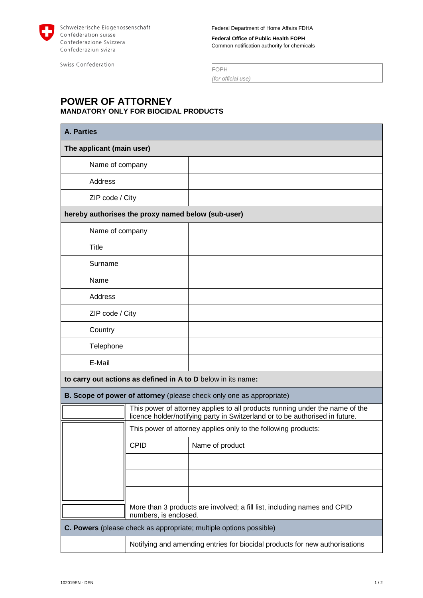

Federal Department of Home Affairs FDHA

**Federal Office of Public Health FOPH** Common notification authority for chemicals

Swiss Confederation

FOPH *(for official use)*

## **POWER OF ATTORNEY MANDATORY ONLY FOR BIOCIDAL PRODUCTS**

| <b>A. Parties</b>                                                    |                                                                                                                                                              |                 |  |  |
|----------------------------------------------------------------------|--------------------------------------------------------------------------------------------------------------------------------------------------------------|-----------------|--|--|
| The applicant (main user)                                            |                                                                                                                                                              |                 |  |  |
| Name of company                                                      |                                                                                                                                                              |                 |  |  |
| Address                                                              |                                                                                                                                                              |                 |  |  |
| ZIP code / City                                                      |                                                                                                                                                              |                 |  |  |
| hereby authorises the proxy named below (sub-user)                   |                                                                                                                                                              |                 |  |  |
| Name of company                                                      |                                                                                                                                                              |                 |  |  |
| Title                                                                |                                                                                                                                                              |                 |  |  |
| Surname                                                              |                                                                                                                                                              |                 |  |  |
| Name                                                                 |                                                                                                                                                              |                 |  |  |
| Address                                                              |                                                                                                                                                              |                 |  |  |
| ZIP code / City                                                      |                                                                                                                                                              |                 |  |  |
| Country                                                              |                                                                                                                                                              |                 |  |  |
| Telephone                                                            |                                                                                                                                                              |                 |  |  |
| E-Mail                                                               |                                                                                                                                                              |                 |  |  |
| to carry out actions as defined in A to D below in its name:         |                                                                                                                                                              |                 |  |  |
| B. Scope of power of attorney (please check only one as appropriate) |                                                                                                                                                              |                 |  |  |
|                                                                      | This power of attorney applies to all products running under the name of the<br>licence holder/notifying party in Switzerland or to be authorised in future. |                 |  |  |
|                                                                      | This power of attorney applies only to the following products:                                                                                               |                 |  |  |
|                                                                      | <b>CPID</b>                                                                                                                                                  | Name of product |  |  |
|                                                                      |                                                                                                                                                              |                 |  |  |
|                                                                      |                                                                                                                                                              |                 |  |  |
|                                                                      |                                                                                                                                                              |                 |  |  |
|                                                                      | More than 3 products are involved; a fill list, including names and CPID<br>numbers, is enclosed.                                                            |                 |  |  |
| C. Powers (please check as appropriate; multiple options possible)   |                                                                                                                                                              |                 |  |  |
|                                                                      | Notifying and amending entries for biocidal products for new authorisations                                                                                  |                 |  |  |